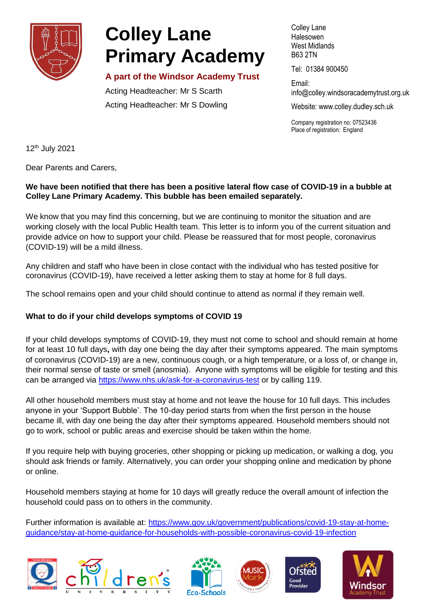

# **Colley Lane Primary Academy**

# **A part of the Windsor Academy Trust**

Acting Headteacher: Mr S Scarth Acting Headteacher: Mr S Dowling Colley Lane Halesowen West Midlands B63 2TN

Tel: 01384 900450

Email: info@colley[.windsoracademytrust.org.uk](http://www.windsoracademytrust.org.uk/)

Website: www.colley.dudley.sch.uk

Company registration no: 07523436 Place of registration: England

12th July 2021

Dear Parents and Carers,

# **We have been notified that there has been a positive lateral flow case of COVID-19 in a bubble at Colley Lane Primary Academy. This bubble has been emailed separately.**

We know that you may find this concerning, but we are continuing to monitor the situation and are working closely with the local Public Health team. This letter is to inform you of the current situation and provide advice on how to support your child. Please be reassured that for most people, coronavirus (COVID-19) will be a mild illness.

Any children and staff who have been in close contact with the individual who has tested positive for coronavirus (COVID-19), have received a letter asking them to stay at home for 8 full days.

The school remains open and your child should continue to attend as normal if they remain well.

# **What to do if your child develops symptoms of COVID 19**

If your child develops symptoms of COVID-19, they must not come to school and should remain at home for at least 10 full days**,** with day one being the day after their symptoms appeared. The main symptoms of coronavirus (COVID-19) are a new, continuous cough, or a high temperature, or a loss of, or change in, their normal sense of taste or smell (anosmia). Anyone with symptoms will be eligible for testing and this can be arranged via<https://www.nhs.uk/ask-for-a-coronavirus-test> or by calling 119.

All other household members must stay at home and not leave the house for 10 full days. This includes anyone in your 'Support Bubble'. The 10-day period starts from when the first person in the house became ill, with day one being the day after their symptoms appeared. Household members should not go to work, school or public areas and exercise should be taken within the home.

If you require help with buying groceries, other shopping or picking up medication, or walking a dog, you should ask friends or family. Alternatively, you can order your shopping online and medication by phone or online.

Household members staying at home for 10 days will greatly reduce the overall amount of infection the household could pass on to others in the community.

Further information is available at: [https://www.gov.uk/government/publications/covid-19-stay-at-home](https://www.gov.uk/government/publications/covid-19-stay-at-home-guidance/stay-at-home-guidance-for-households-with-possible-coronavirus-covid-19-infection)[guidance/stay-at-home-guidance-for-households-with-possible-coronavirus-covid-19-infection](https://www.gov.uk/government/publications/covid-19-stay-at-home-guidance/stay-at-home-guidance-for-households-with-possible-coronavirus-covid-19-infection)